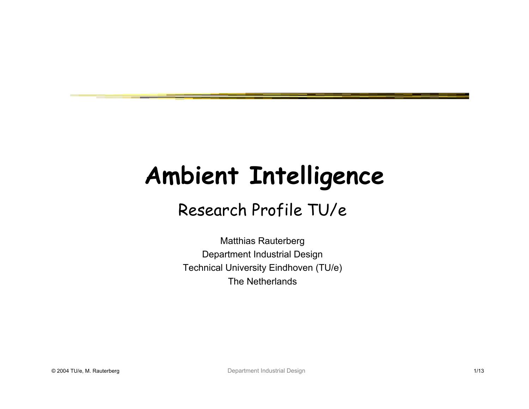# **Ambient Intelligence**

#### Research Profile TU/e

Matthias Rauterberg Department Industrial Design Technical University Eindhoven (TU/e) The Netherlands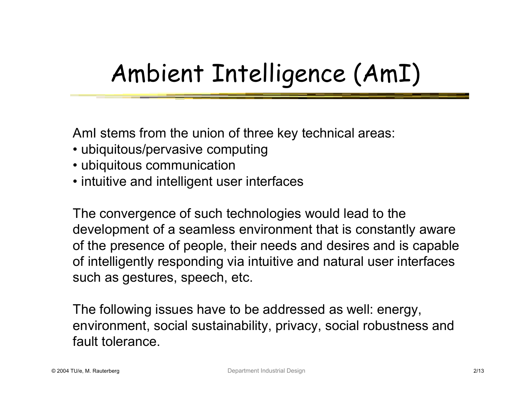## Ambient Intelligence (AmI)

AmI stems from the union of three key technical areas:

- ubiquitous/pervasive computing
- ubiquitous communication
- intuitive and intelligent user interfaces

The convergence of such technologies would lead to the development of a seamless environment that is constantly aware of the presence of people, their needs and desires and is capable of intelligently responding via intuitive and natural user interfaces such as gestures, speech, etc.

The following issues have to be addressed as well: energy, environment, social sustainability, privacy, social robustness and fault tolerance.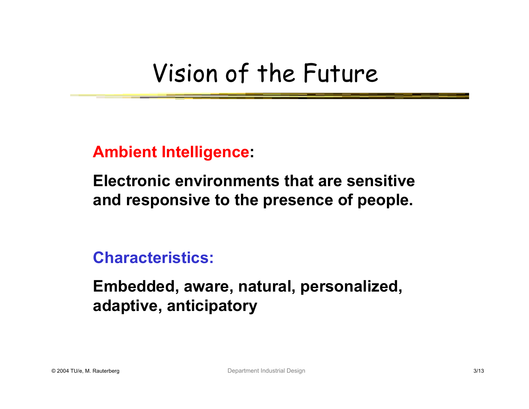#### Vision of the Future

**Ambient Intelligence:**

**Electronic environments that are sensitive and responsive to the presence of people.**

**Characteristics:**

**Embedded, aware, natural, personalized, adaptive, anticipatory**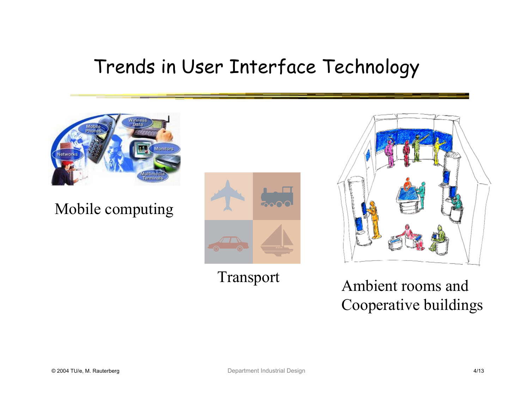#### Trends in User Interface Technology



Mobile computing



Transport

Ambient rooms and Cooperative buildings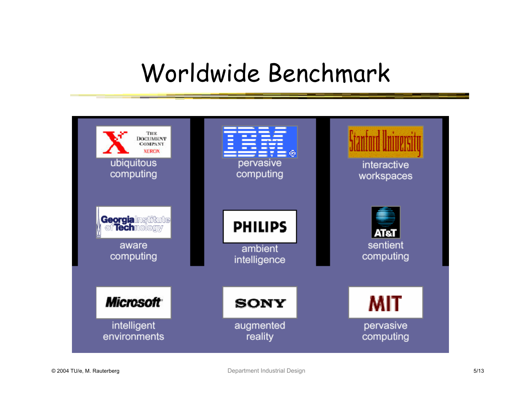#### Worldwide Benchmark

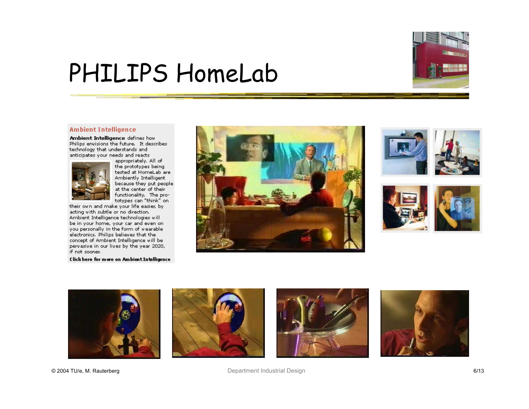

#### PHILIPS HomeLab

#### **Ambient Intelligence**

Ambient Intelligence defines how Philips envisions the future. It describes technology that understands and anticipates your needs and reacts



appropriately. All of the prototypes being tested at HomeLab are Ambiently Intelligent because they put people at the center of their functionality. The pro-<br>totypes can "think" on

their own and make your life easier, by acting with subtle or no direction. Ambient Intelligence technologies will be in your home, your car and even on you personally in the form of wearable electronics. Philips believes that the concept of Ambient Intelligence will be pervasive in our lives by the year 2020, if not sooner.

Click here for more on Ambient Intelligence















© 2004 TU/e, M. Rauterberg Department Industrial Design 6/13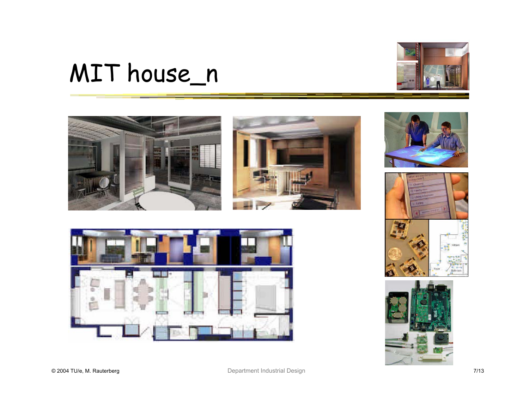## MIT house\_n













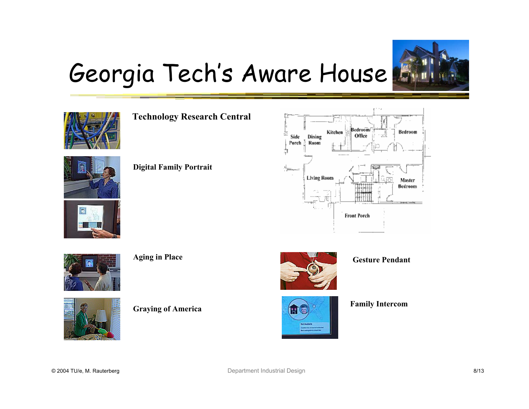

## Georgia Tech's Aware House



**Technology Research Central**



**Digital Family Portrait**





**Aging in Place**



**Graying of America**







**Family Intercom**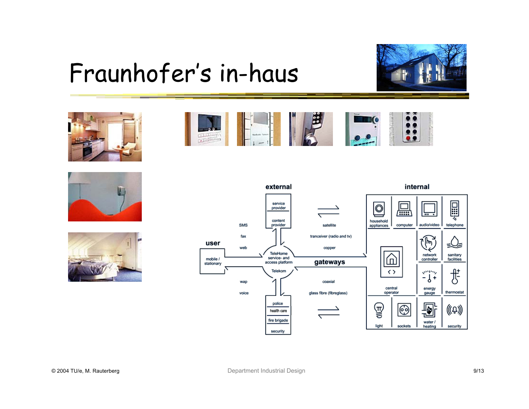#### Fraunhofer's in-haus











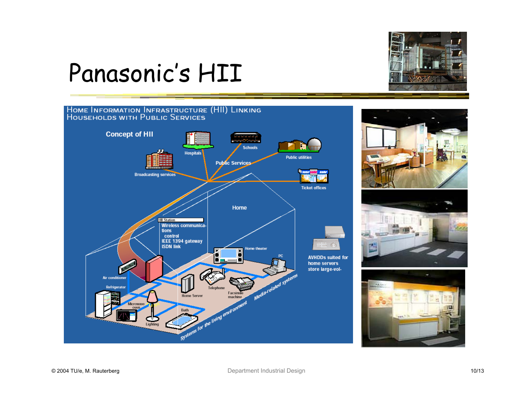

### Panasonic's HII

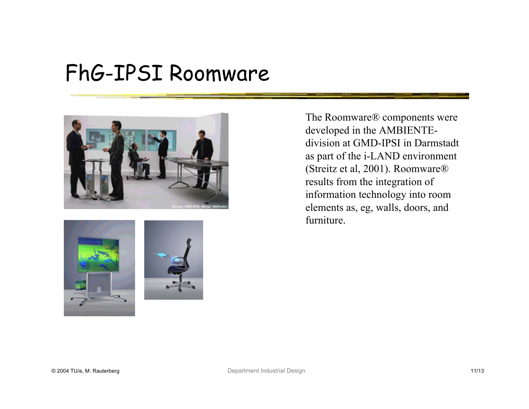#### FhG-IPSI Roomware





The Roomware® components were developed in the AMBIENTEdivision at GMD-IPSI in Darmstadt as part of the i-LAND environment (Streitz et al, 2001). Roomware® results from the integration of information technology into room elements as, eg, walls, doors, and furniture.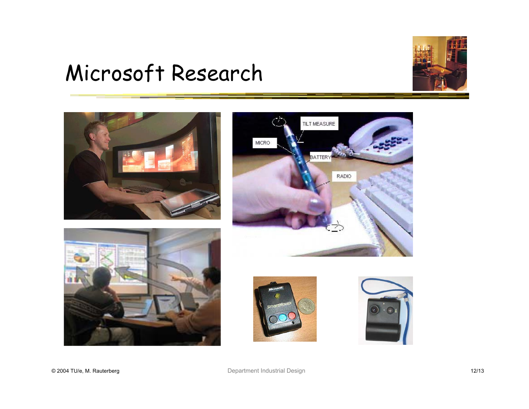#### Microsoft Research